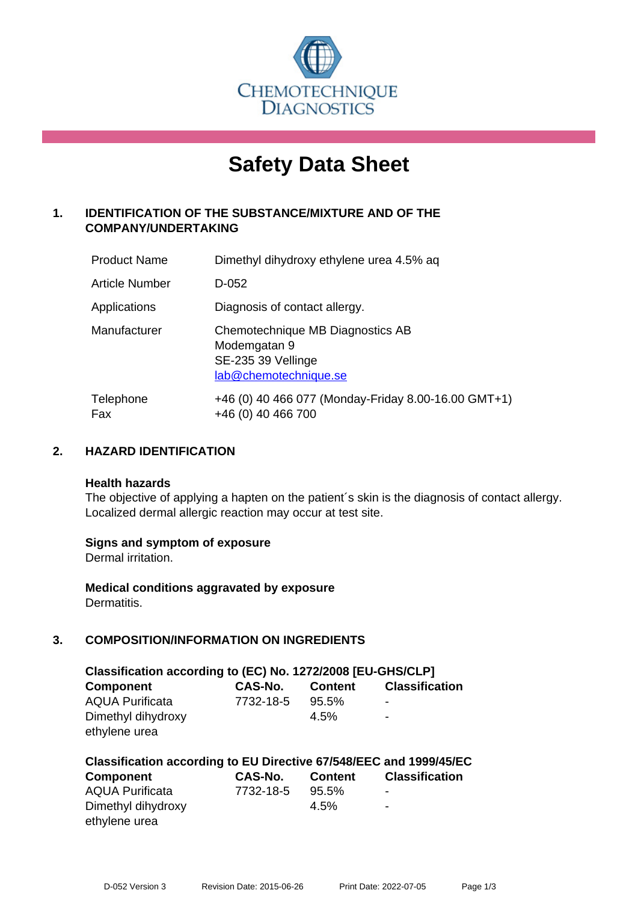

# **Safety Data Sheet**

# **1. IDENTIFICATION OF THE SUBSTANCE/MIXTURE AND OF THE COMPANY/UNDERTAKING**

| <b>Product Name</b> | Dimethyl dihydroxy ethylene urea 4.5% ag                                                        |
|---------------------|-------------------------------------------------------------------------------------------------|
| Article Number      | D-052                                                                                           |
| Applications        | Diagnosis of contact allergy.                                                                   |
| Manufacturer        | Chemotechnique MB Diagnostics AB<br>Modemgatan 9<br>SE-235 39 Vellinge<br>lab@chemotechnique.se |
| Telephone<br>Fax    | +46 (0) 40 466 077 (Monday-Friday 8.00-16.00 GMT+1)<br>+46 (0) 40 466 700                       |

# **2. HAZARD IDENTIFICATION**

#### **Health hazards**

The objective of applying a hapten on the patient's skin is the diagnosis of contact allergy. Localized dermal allergic reaction may occur at test site.

## **Signs and symptom of exposure**

Dermal irritation.

**Medical conditions aggravated by exposure** Dermatitis.

# **3. COMPOSITION/INFORMATION ON INGREDIENTS**

| Classification according to (EC) No. 1272/2008 [EU-GHS/CLP] |                |                |                       |  |
|-------------------------------------------------------------|----------------|----------------|-----------------------|--|
| <b>Component</b>                                            | <b>CAS-No.</b> | <b>Content</b> | <b>Classification</b> |  |
| <b>AQUA Purificata</b>                                      | 7732-18-5      | $95.5\%$       | $\,$                  |  |
| Dimethyl dihydroxy                                          |                | $4.5\%$        | $\blacksquare$        |  |
| ethylene urea                                               |                |                |                       |  |

| Classification according to EU Directive 67/548/EEC and 1999/45/EC |           |                |                       |  |
|--------------------------------------------------------------------|-----------|----------------|-----------------------|--|
| Component                                                          | CAS-No.   | <b>Content</b> | <b>Classification</b> |  |
| <b>AQUA Purificata</b>                                             | 7732-18-5 | 95.5%          | $\,$                  |  |
| Dimethyl dihydroxy                                                 |           | $4.5\%$        | ٠                     |  |
| ethylene urea                                                      |           |                |                       |  |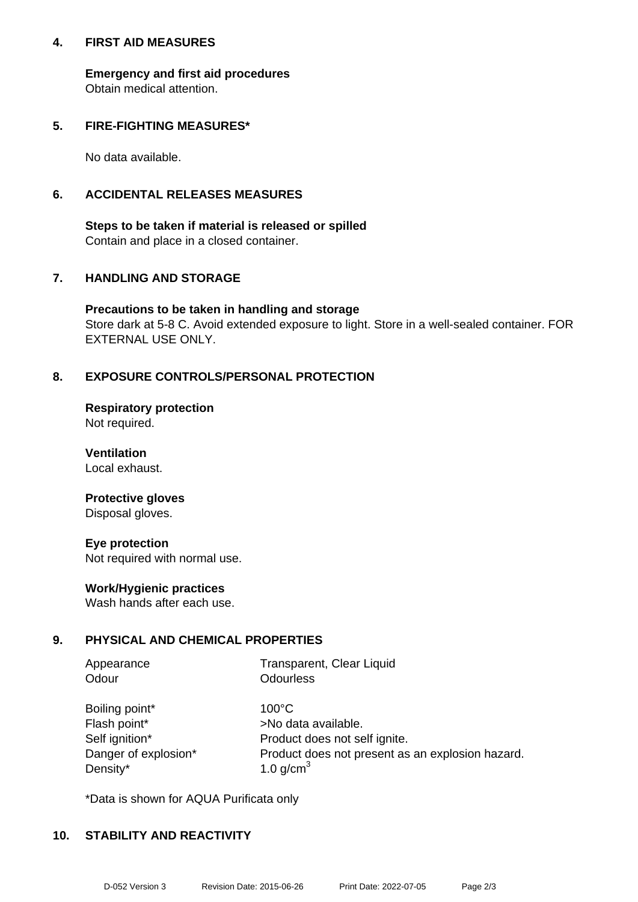## **4. FIRST AID MEASURES**

**Emergency and first aid procedures** Obtain medical attention.

## **5. FIRE-FIGHTING MEASURES\***

No data available.

## **6. ACCIDENTAL RELEASES MEASURES**

**Steps to be taken if material is released or spilled** Contain and place in a closed container.

# **7. HANDLING AND STORAGE**

**Precautions to be taken in handling and storage** Store dark at 5-8 C. Avoid extended exposure to light. Store in a well-sealed container. FOR EXTERNAL USE ONLY.

# **8. EXPOSURE CONTROLS/PERSONAL PROTECTION**

**Respiratory protection** Not required.

**Ventilation** Local exhaust.

#### **Protective gloves** Disposal gloves.

**Eye protection** Not required with normal use.

## **Work/Hygienic practices**

Wash hands after each use.

# **9. PHYSICAL AND CHEMICAL PROPERTIES**

| Appearance     | Transparent, Clear Liquid |
|----------------|---------------------------|
| Odour          | <b>Odourless</b>          |
| Boiling point* | $100^{\circ}$ C           |

| Boiling point*       |
|----------------------|
| Flash point*         |
| Self ignition*       |
| Danger of explosion' |
| Density*             |

>No data available. Product does not self ignite. Product does not present as an explosion hazard. 1.0 g/cm $<sup>3</sup>$ </sup>

\*Data is shown for AQUA Purificata only

## **10. STABILITY AND REACTIVITY**